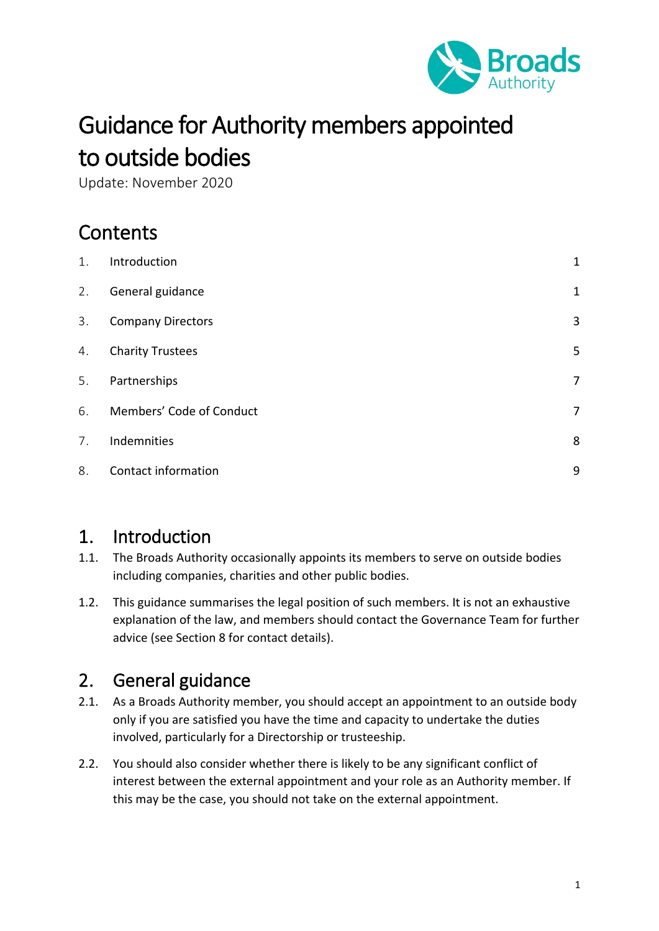

# Guidance for Authority members appointed to outside bodies

Update: November 2020

# **Contents**

| 1. | Introduction             | $\mathbf{1}$ |
|----|--------------------------|--------------|
| 2. | General guidance         | $\mathbf{1}$ |
| 3. | <b>Company Directors</b> | 3            |
| 4. | <b>Charity Trustees</b>  | 5            |
| 5. | Partnerships             | 7            |
| 6. | Members' Code of Conduct | 7            |
| 7. | Indemnities              | 8            |
| 8. | Contact information      | 9            |

#### <span id="page-0-0"></span>1. Introduction

- 1.1. The Broads Authority occasionally appoints its members to serve on outside bodies including companies, charities and other public bodies.
- 1.2. This guidance summarises the legal position of such members. It is not an exhaustive explanation of the law, and members should contact the Governance Team for further advice (see Section 8 for contact details).

# <span id="page-0-1"></span>2. General guidance

- 2.1. As a Broads Authority member, you should accept an appointment to an outside body only if you are satisfied you have the time and capacity to undertake the duties involved, particularly for a Directorship or trusteeship.
- 2.2. You should also consider whether there is likely to be any significant conflict of interest between the external appointment and your role as an Authority member. If this may be the case, you should not take on the external appointment.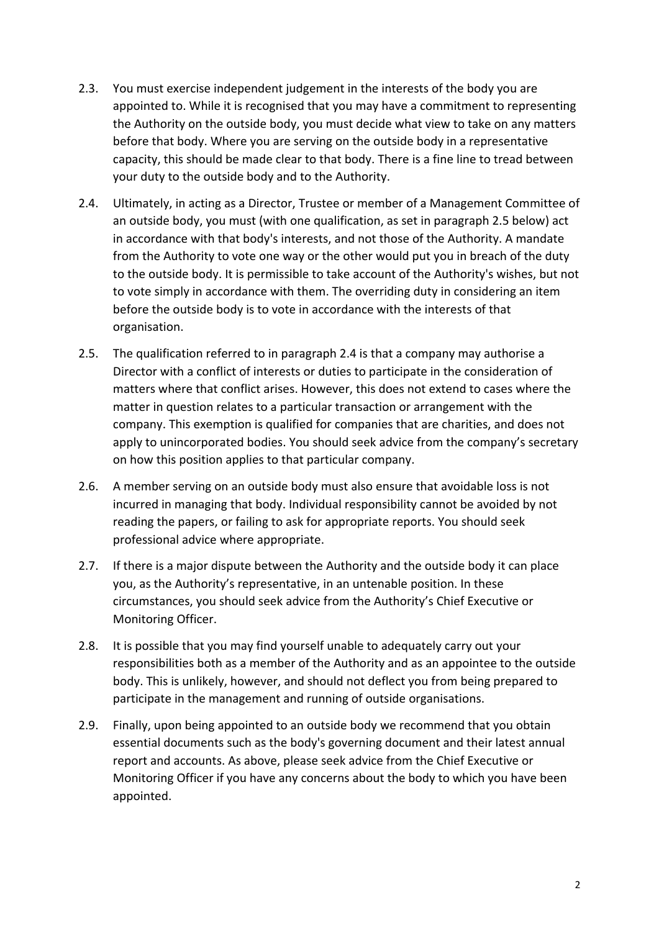- 2.3. You must exercise independent judgement in the interests of the body you are appointed to. While it is recognised that you may have a commitment to representing the Authority on the outside body, you must decide what view to take on any matters before that body. Where you are serving on the outside body in a representative capacity, this should be made clear to that body. There is a fine line to tread between your duty to the outside body and to the Authority.
- 2.4. Ultimately, in acting as a Director, Trustee or member of a Management Committee of an outside body, you must (with one qualification, as set in paragraph 2.5 below) act in accordance with that body's interests, and not those of the Authority. A mandate from the Authority to vote one way or the other would put you in breach of the duty to the outside body. It is permissible to take account of the Authority's wishes, but not to vote simply in accordance with them. The overriding duty in considering an item before the outside body is to vote in accordance with the interests of that organisation.
- 2.5. The qualification referred to in paragraph 2.4 is that a company may authorise a Director with a conflict of interests or duties to participate in the consideration of matters where that conflict arises. However, this does not extend to cases where the matter in question relates to a particular transaction or arrangement with the company. This exemption is qualified for companies that are charities, and does not apply to unincorporated bodies. You should seek advice from the company's secretary on how this position applies to that particular company.
- 2.6. A member serving on an outside body must also ensure that avoidable loss is not incurred in managing that body. Individual responsibility cannot be avoided by not reading the papers, or failing to ask for appropriate reports. You should seek professional advice where appropriate.
- 2.7. If there is a major dispute between the Authority and the outside body it can place you, as the Authority's representative, in an untenable position. In these circumstances, you should seek advice from the Authority's Chief Executive or Monitoring Officer.
- 2.8. It is possible that you may find yourself unable to adequately carry out your responsibilities both as a member of the Authority and as an appointee to the outside body. This is unlikely, however, and should not deflect you from being prepared to participate in the management and running of outside organisations.
- 2.9. Finally, upon being appointed to an outside body we recommend that you obtain essential documents such as the body's governing document and their latest annual report and accounts. As above, please seek advice from the Chief Executive or Monitoring Officer if you have any concerns about the body to which you have been appointed.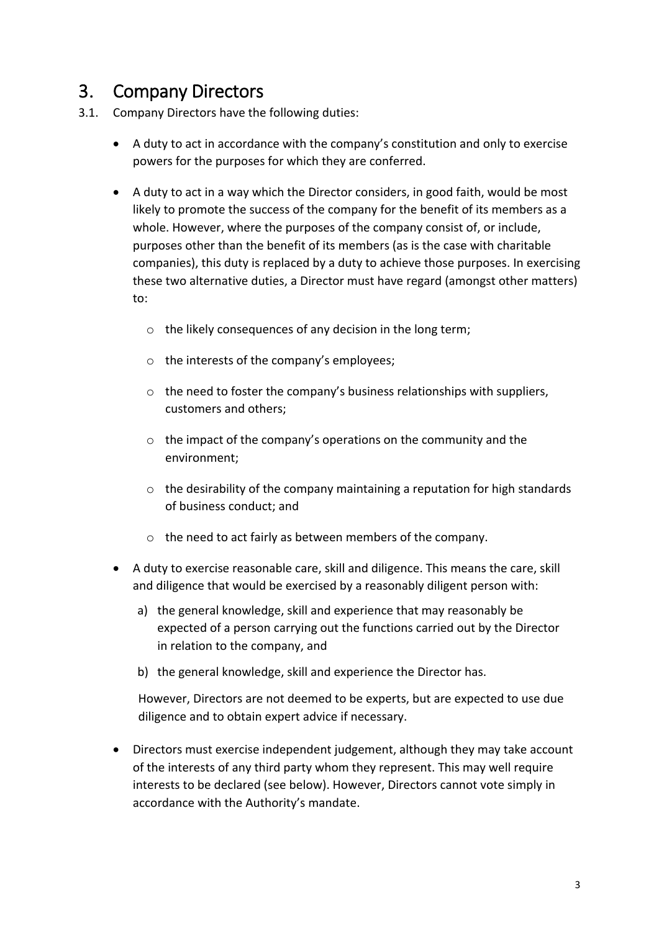## <span id="page-2-0"></span>3. Company Directors

- 3.1. Company Directors have the following duties:
	- A duty to act in accordance with the company's constitution and only to exercise powers for the purposes for which they are conferred.
	- A duty to act in a way which the Director considers, in good faith, would be most likely to promote the success of the company for the benefit of its members as a whole. However, where the purposes of the company consist of, or include, purposes other than the benefit of its members (as is the case with charitable companies), this duty is replaced by a duty to achieve those purposes. In exercising these two alternative duties, a Director must have regard (amongst other matters) to:
		- o the likely consequences of any decision in the long term;
		- o the interests of the company's employees;
		- $\circ$  the need to foster the company's business relationships with suppliers, customers and others;
		- $\circ$  the impact of the company's operations on the community and the environment;
		- $\circ$  the desirability of the company maintaining a reputation for high standards of business conduct; and
		- o the need to act fairly as between members of the company.
	- A duty to exercise reasonable care, skill and diligence. This means the care, skill and diligence that would be exercised by a reasonably diligent person with:
		- a) the general knowledge, skill and experience that may reasonably be expected of a person carrying out the functions carried out by the Director in relation to the company, and
		- b) the general knowledge, skill and experience the Director has.

However, Directors are not deemed to be experts, but are expected to use due diligence and to obtain expert advice if necessary.

• Directors must exercise independent judgement, although they may take account of the interests of any third party whom they represent. This may well require interests to be declared (see below). However, Directors cannot vote simply in accordance with the Authority's mandate.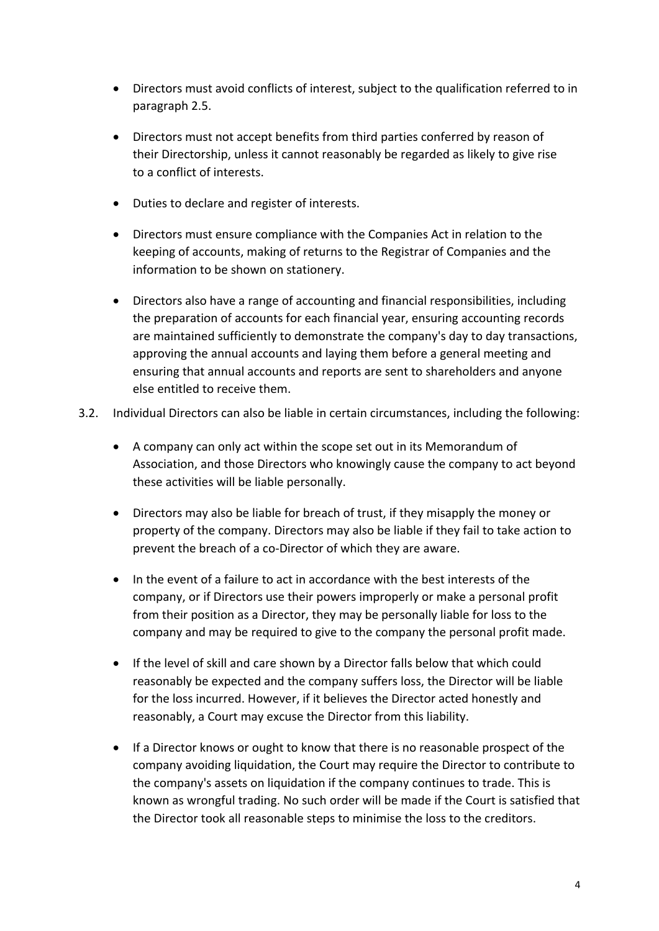- Directors must avoid conflicts of interest, subject to the qualification referred to in paragraph 2.5.
- Directors must not accept benefits from third parties conferred by reason of their Directorship, unless it cannot reasonably be regarded as likely to give rise to a conflict of interests.
- Duties to declare and register of interests.
- Directors must ensure compliance with the Companies Act in relation to the keeping of accounts, making of returns to the Registrar of Companies and the information to be shown on stationery.
- Directors also have a range of accounting and financial responsibilities, including the preparation of accounts for each financial year, ensuring accounting records are maintained sufficiently to demonstrate the company's day to day transactions, approving the annual accounts and laying them before a general meeting and ensuring that annual accounts and reports are sent to shareholders and anyone else entitled to receive them.
- 3.2. Individual Directors can also be liable in certain circumstances, including the following:
	- A company can only act within the scope set out in its Memorandum of Association, and those Directors who knowingly cause the company to act beyond these activities will be liable personally.
	- Directors may also be liable for breach of trust, if they misapply the money or property of the company. Directors may also be liable if they fail to take action to prevent the breach of a co-Director of which they are aware.
	- In the event of a failure to act in accordance with the best interests of the company, or if Directors use their powers improperly or make a personal profit from their position as a Director, they may be personally liable for loss to the company and may be required to give to the company the personal profit made.
	- If the level of skill and care shown by a Director falls below that which could reasonably be expected and the company suffers loss, the Director will be liable for the loss incurred. However, if it believes the Director acted honestly and reasonably, a Court may excuse the Director from this liability.
	- If a Director knows or ought to know that there is no reasonable prospect of the company avoiding liquidation, the Court may require the Director to contribute to the company's assets on liquidation if the company continues to trade. This is known as wrongful trading. No such order will be made if the Court is satisfied that the Director took all reasonable steps to minimise the loss to the creditors.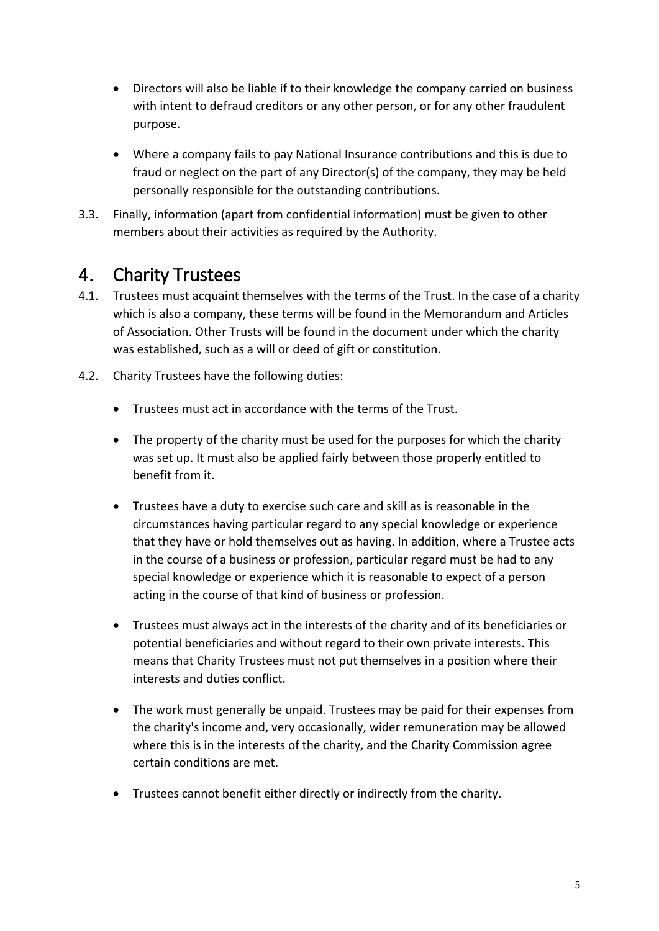- Directors will also be liable if to their knowledge the company carried on business with intent to defraud creditors or any other person, or for any other fraudulent purpose.
- Where a company fails to pay National Insurance contributions and this is due to fraud or neglect on the part of any Director(s) of the company, they may be held personally responsible for the outstanding contributions.
- 3.3. Finally, information (apart from confidential information) must be given to other members about their activities as required by the Authority.

#### <span id="page-4-0"></span>4. Charity Trustees

- 4.1. Trustees must acquaint themselves with the terms of the Trust. In the case of a charity which is also a company, these terms will be found in the Memorandum and Articles of Association. Other Trusts will be found in the document under which the charity was established, such as a will or deed of gift or constitution.
- 4.2. Charity Trustees have the following duties:
	- Trustees must act in accordance with the terms of the Trust.
	- The property of the charity must be used for the purposes for which the charity was set up. It must also be applied fairly between those properly entitled to benefit from it.
	- Trustees have a duty to exercise such care and skill as is reasonable in the circumstances having particular regard to any special knowledge or experience that they have or hold themselves out as having. In addition, where a Trustee acts in the course of a business or profession, particular regard must be had to any special knowledge or experience which it is reasonable to expect of a person acting in the course of that kind of business or profession.
	- Trustees must always act in the interests of the charity and of its beneficiaries or potential beneficiaries and without regard to their own private interests. This means that Charity Trustees must not put themselves in a position where their interests and duties conflict.
	- The work must generally be unpaid. Trustees may be paid for their expenses from the charity's income and, very occasionally, wider remuneration may be allowed where this is in the interests of the charity, and the Charity Commission agree certain conditions are met.
	- Trustees cannot benefit either directly or indirectly from the charity.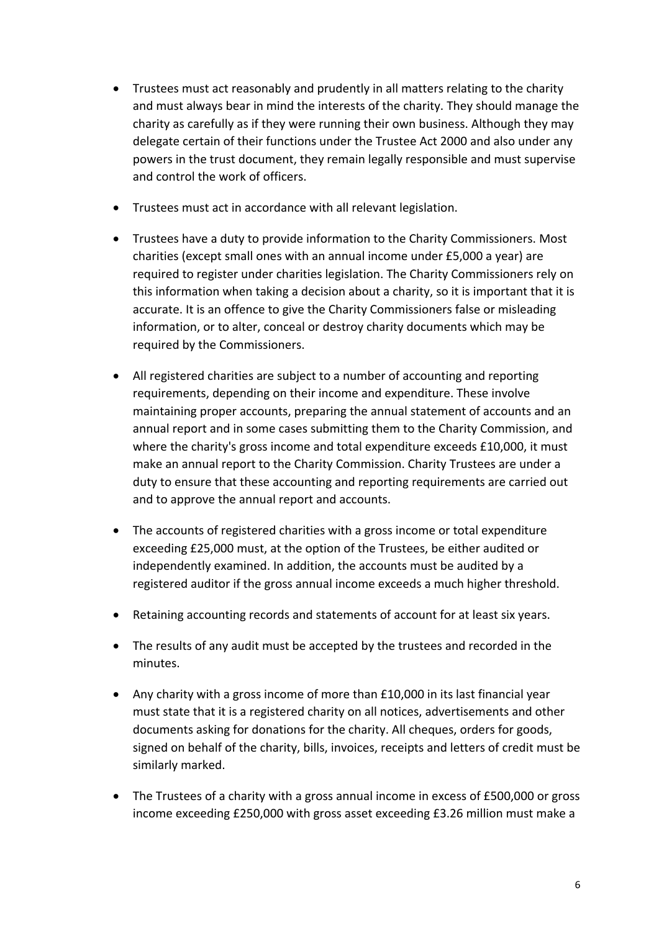- Trustees must act reasonably and prudently in all matters relating to the charity and must always bear in mind the interests of the charity. They should manage the charity as carefully as if they were running their own business. Although they may delegate certain of their functions under the Trustee Act 2000 and also under any powers in the trust document, they remain legally responsible and must supervise and control the work of officers.
- Trustees must act in accordance with all relevant legislation.
- Trustees have a duty to provide information to the Charity Commissioners. Most charities (except small ones with an annual income under £5,000 a year) are required to register under charities legislation. The Charity Commissioners rely on this information when taking a decision about a charity, so it is important that it is accurate. It is an offence to give the Charity Commissioners false or misleading information, or to alter, conceal or destroy charity documents which may be required by the Commissioners.
- All registered charities are subject to a number of accounting and reporting requirements, depending on their income and expenditure. These involve maintaining proper accounts, preparing the annual statement of accounts and an annual report and in some cases submitting them to the Charity Commission, and where the charity's gross income and total expenditure exceeds £10,000, it must make an annual report to the Charity Commission. Charity Trustees are under a duty to ensure that these accounting and reporting requirements are carried out and to approve the annual report and accounts.
- The accounts of registered charities with a gross income or total expenditure exceeding £25,000 must, at the option of the Trustees, be either audited or independently examined. In addition, the accounts must be audited by a registered auditor if the gross annual income exceeds a much higher threshold.
- Retaining accounting records and statements of account for at least six years.
- The results of any audit must be accepted by the trustees and recorded in the minutes.
- Any charity with a gross income of more than £10,000 in its last financial year must state that it is a registered charity on all notices, advertisements and other documents asking for donations for the charity. All cheques, orders for goods, signed on behalf of the charity, bills, invoices, receipts and letters of credit must be similarly marked.
- The Trustees of a charity with a gross annual income in excess of £500,000 or gross income exceeding £250,000 with gross asset exceeding £3.26 million must make a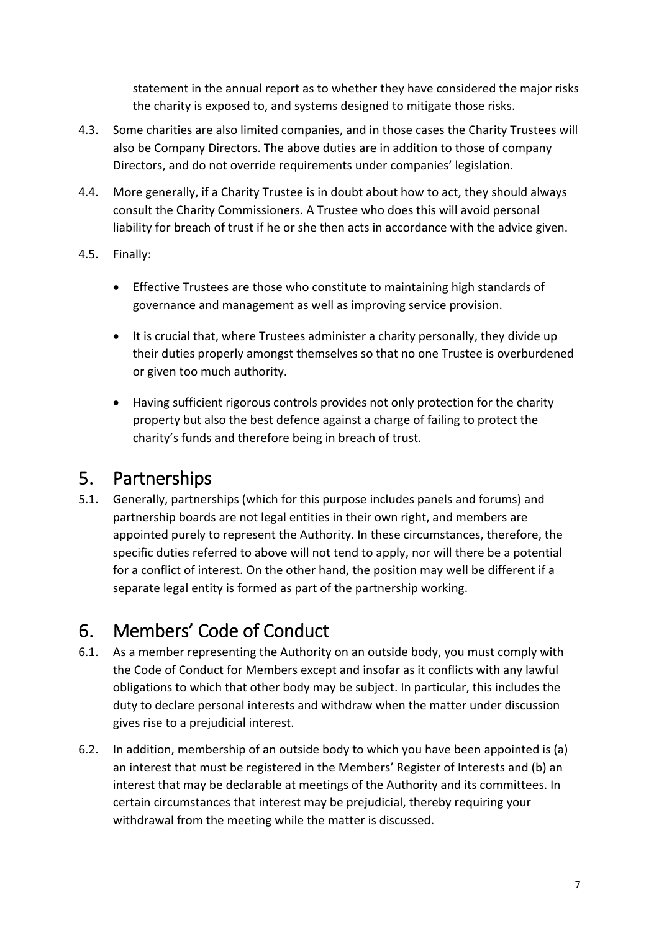statement in the annual report as to whether they have considered the major risks the charity is exposed to, and systems designed to mitigate those risks.

- 4.3. Some charities are also limited companies, and in those cases the Charity Trustees will also be Company Directors. The above duties are in addition to those of company Directors, and do not override requirements under companies' legislation.
- 4.4. More generally, if a Charity Trustee is in doubt about how to act, they should always consult the Charity Commissioners. A Trustee who does this will avoid personal liability for breach of trust if he or she then acts in accordance with the advice given.
- 4.5. Finally:
	- Effective Trustees are those who constitute to maintaining high standards of governance and management as well as improving service provision.
	- It is crucial that, where Trustees administer a charity personally, they divide up their duties properly amongst themselves so that no one Trustee is overburdened or given too much authority.
	- Having sufficient rigorous controls provides not only protection for the charity property but also the best defence against a charge of failing to protect the charity's funds and therefore being in breach of trust.

#### <span id="page-6-0"></span>5. Partnerships

5.1. Generally, partnerships (which for this purpose includes panels and forums) and partnership boards are not legal entities in their own right, and members are appointed purely to represent the Authority. In these circumstances, therefore, the specific duties referred to above will not tend to apply, nor will there be a potential for a conflict of interest. On the other hand, the position may well be different if a separate legal entity is formed as part of the partnership working.

#### <span id="page-6-1"></span>6. Members' Code of Conduct

- 6.1. As a member representing the Authority on an outside body, you must comply with the Code of Conduct for Members except and insofar as it conflicts with any lawful obligations to which that other body may be subject. In particular, this includes the duty to declare personal interests and withdraw when the matter under discussion gives rise to a prejudicial interest.
- 6.2. In addition, membership of an outside body to which you have been appointed is (a) an interest that must be registered in the Members' Register of Interests and (b) an interest that may be declarable at meetings of the Authority and its committees. In certain circumstances that interest may be prejudicial, thereby requiring your withdrawal from the meeting while the matter is discussed.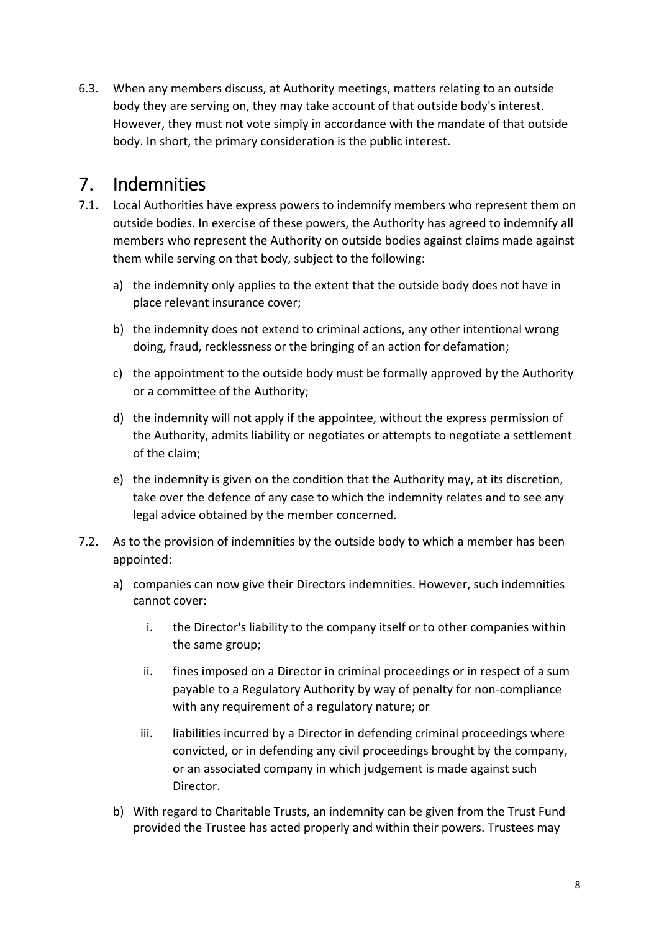6.3. When any members discuss, at Authority meetings, matters relating to an outside body they are serving on, they may take account of that outside body's interest. However, they must not vote simply in accordance with the mandate of that outside body. In short, the primary consideration is the public interest.

#### <span id="page-7-0"></span>7. Indemnities

- 7.1. Local Authorities have express powers to indemnify members who represent them on outside bodies. In exercise of these powers, the Authority has agreed to indemnify all members who represent the Authority on outside bodies against claims made against them while serving on that body, subject to the following:
	- a) the indemnity only applies to the extent that the outside body does not have in place relevant insurance cover;
	- b) the indemnity does not extend to criminal actions, any other intentional wrong doing, fraud, recklessness or the bringing of an action for defamation;
	- c) the appointment to the outside body must be formally approved by the Authority or a committee of the Authority;
	- d) the indemnity will not apply if the appointee, without the express permission of the Authority, admits liability or negotiates or attempts to negotiate a settlement of the claim;
	- e) the indemnity is given on the condition that the Authority may, at its discretion, take over the defence of any case to which the indemnity relates and to see any legal advice obtained by the member concerned.
- 7.2. As to the provision of indemnities by the outside body to which a member has been appointed:
	- a) companies can now give their Directors indemnities. However, such indemnities cannot cover:
		- i. the Director's liability to the company itself or to other companies within the same group;
		- ii. fines imposed on a Director in criminal proceedings or in respect of a sum payable to a Regulatory Authority by way of penalty for non-compliance with any requirement of a regulatory nature; or
		- iii. liabilities incurred by a Director in defending criminal proceedings where convicted, or in defending any civil proceedings brought by the company, or an associated company in which judgement is made against such Director.
	- b) With regard to Charitable Trusts, an indemnity can be given from the Trust Fund provided the Trustee has acted properly and within their powers. Trustees may